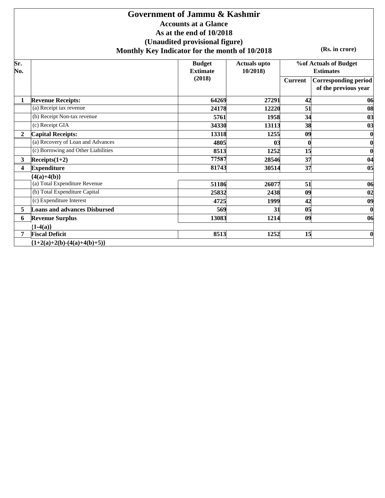### **Accounts at a Glance As at the end of 10/2018 (Unaudited provisional figure) Monthly Key Indicator for the month of 10/2018 Government of Jammu & Kashmir**

**(Rs. in crore)**

| Sr.<br>No.   |                                     | <b>Budget</b><br><b>Extimate</b> | <b>Actuals upto</b><br>10/2018) |                | <b>%of Actuals of Budget</b><br><b>Estimates</b>    |
|--------------|-------------------------------------|----------------------------------|---------------------------------|----------------|-----------------------------------------------------|
|              |                                     | (2018)                           |                                 | <b>Current</b> | <b>Corresponding period</b><br>of the previous year |
| 1            | <b>Revenue Receipts:</b>            | 64269                            | 27291                           | 42             | 06                                                  |
|              | (a) Receipt tax revenue             | 24178                            | 12220                           | 51             | 08                                                  |
|              | (b) Receipt Non-tax revenue         | 5761                             | 1958                            | 34             | 03                                                  |
|              | (c) Receipt GIA                     | 34330                            | 13113                           | 38             | 03                                                  |
| $\mathbf{2}$ | <b>Capital Receipts:</b>            | 13318                            | 1255                            | 09             | $\bf{0}$                                            |
|              | (a) Recovery of Loan and Advances   | 4805                             | 03                              |                | $\bf{0}$                                            |
|              | (c) Borrowing and Other Liabilities | 8513                             | 1252                            | 15             | $\bf{0}$                                            |
| 3            | $Receipts(1+2)$                     | 77587                            | 28546                           | 37             | 04                                                  |
| 4            | <b>Expenditure</b>                  | 81743                            | 30514                           | 37             | 0 <sub>5</sub>                                      |
|              | ${4(a)+4(b)}$                       |                                  |                                 |                |                                                     |
|              | (a) Total Expenditure Revenue       | 51186                            | 26077                           | 51             | 06                                                  |
|              | (b) Total Expenditure Capital       | 25832                            | 2438                            | 09             | 02                                                  |
|              | (c) Expenditure Interest            | 4725                             | 1999                            | 42             | 0 <sub>9</sub>                                      |
| 5            | <b>Loans and advances Disbursed</b> | 569                              | 31                              | 0 <sub>5</sub> | $\bf{0}$                                            |
| 6            | <b>Revenue Surplus</b>              | 13083                            | 1214                            | 09             | 06                                                  |
|              | ${1-4(a)}$                          |                                  |                                 |                |                                                     |
| 7            | <b>Fiscal Deficit</b>               | 8513                             | 1252                            | 15             | $\bf{0}$                                            |
|              | ${1+2(a)+2(b)-(4(a)+4(b)+5)}$       |                                  |                                 |                |                                                     |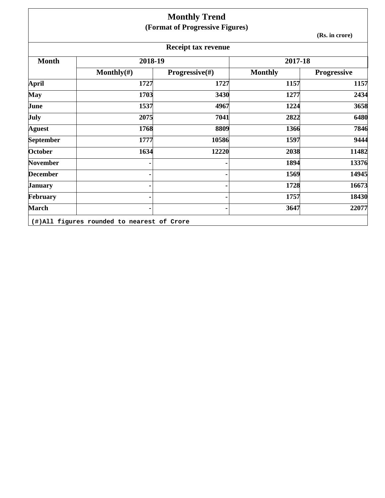|                 |                                            | <b>Monthly Trend</b><br>(Format of Progressive Figures) |                |                    |
|-----------------|--------------------------------------------|---------------------------------------------------------|----------------|--------------------|
|                 |                                            |                                                         |                | (Rs. in crore)     |
|                 |                                            | <b>Receipt tax revenue</b>                              |                |                    |
| <b>Month</b>    | 2018-19                                    |                                                         | 2017-18        |                    |
|                 | Monthly $(\#)$                             | Progressive(#)                                          | <b>Monthly</b> | <b>Progressive</b> |
| <b>April</b>    | 1727                                       | 1727                                                    | 1157           | 1157               |
| May             | 1703                                       | 3430                                                    | 1277           | 2434               |
| June            | 1537                                       | 4967                                                    | 1224           | 3658               |
| July            | 2075                                       | 7041                                                    | 2822           | 6480               |
| <b>Aguest</b>   | 1768                                       | 8809                                                    | 1366           | 7846               |
| September       | 1777                                       | 10586                                                   | 1597           | 9444               |
| October         | 1634                                       | 12220                                                   | 2038           | 11482              |
| <b>November</b> |                                            |                                                         | 1894           | 13376              |
| <b>December</b> |                                            |                                                         | 1569           | 14945              |
| <b>January</b>  |                                            |                                                         | 1728           | 16673              |
| February        |                                            |                                                         | 1757           | 18430              |
| <b>March</b>    |                                            |                                                         | 3647           | 22077              |
|                 | (#)All figures rounded to nearest of Crore |                                                         |                |                    |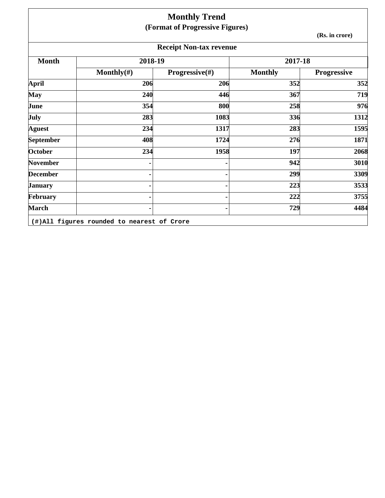|                 |                                            | <b>Monthly Trend</b><br>(Format of Progressive Figures) |                |                    |
|-----------------|--------------------------------------------|---------------------------------------------------------|----------------|--------------------|
|                 |                                            |                                                         |                | (Rs. in crore)     |
|                 |                                            | <b>Receipt Non-tax revenue</b>                          |                |                    |
| <b>Month</b>    | 2018-19                                    |                                                         | 2017-18        |                    |
|                 | Monthly $(\#)$                             | Progressive(#)                                          | <b>Monthly</b> | <b>Progressive</b> |
| April           | 206                                        | 206                                                     | 352            | 352                |
| <b>May</b>      | 240                                        | 446                                                     | 367            | 719                |
| June            | 354                                        | 800                                                     | 258            | 976                |
| <b>July</b>     | 283                                        | 1083                                                    | 336            | 1312               |
| <b>Aguest</b>   | 234                                        | 1317                                                    | 283            | 1595               |
| September       | 408                                        | 1724                                                    | 276            | 1871               |
| <b>October</b>  | 234                                        | 1958                                                    | 197            | 2068               |
| <b>November</b> |                                            |                                                         | 942            | 3010               |
| <b>December</b> |                                            |                                                         | 299            | 3309               |
| <b>January</b>  |                                            |                                                         | 223            | 3533               |
| February        |                                            |                                                         | 222            | 3755               |
| <b>March</b>    |                                            |                                                         | 729            | 4484               |
|                 | (#)All figures rounded to nearest of Crore |                                                         |                |                    |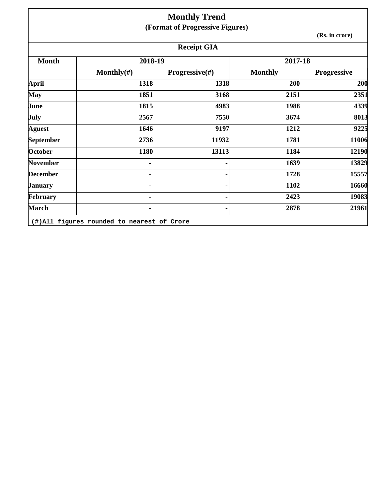|                 |                | <b>Monthly Trend</b>            |                |                    |
|-----------------|----------------|---------------------------------|----------------|--------------------|
|                 |                | (Format of Progressive Figures) |                |                    |
|                 |                |                                 |                | (Rs. in crore)     |
|                 |                | <b>Receipt GIA</b>              |                |                    |
| <b>Month</b>    | 2018-19        |                                 | 2017-18        |                    |
|                 | Monthly $(\#)$ | <b>Progressive</b> $(\#)$       | <b>Monthly</b> | <b>Progressive</b> |
| <b>April</b>    | 1318           | 1318                            | 200            | 200                |
| <b>May</b>      | 1851           | 3168                            | 2151           | 2351               |
| June            | 1815           | 4983                            | 1988           | 4339               |
| July            | 2567           | 7550                            | 3674           | 8013               |
| <b>Aguest</b>   | 1646           | 9197                            | 1212           | 9225               |
| September       | 2736           | 11932                           | 1781           | 11006              |
| October         | 1180           | 13113                           | 1184           | 12190              |
| <b>November</b> |                |                                 | 1639           | 13829              |
| <b>December</b> |                |                                 | 1728           | 15557              |
| <b>January</b>  |                |                                 | 1102           | 16660              |
| February        |                |                                 | 2423           | 19083              |
| <b>March</b>    |                |                                 | 2878           | 21961              |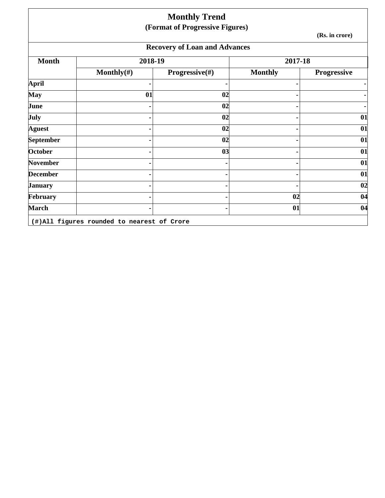|                 |                | <b>Monthly Trend</b><br>(Format of Progressive Figures) |                |                    |
|-----------------|----------------|---------------------------------------------------------|----------------|--------------------|
|                 |                |                                                         |                | (Rs. in crore)     |
|                 |                | <b>Recovery of Loan and Advances</b>                    |                |                    |
| <b>Month</b>    | 2018-19        |                                                         | 2017-18        |                    |
|                 | Monthly $(\#)$ | Progressive(#)                                          | <b>Monthly</b> | <b>Progressive</b> |
| April           |                |                                                         |                |                    |
| May             | 01             | 02                                                      |                |                    |
| June            |                | 02                                                      |                |                    |
| July            |                | 02                                                      |                | 01                 |
| Aguest          |                | 02                                                      |                | 01                 |
| September       |                | 02                                                      |                | 01                 |
| <b>October</b>  |                | 03                                                      |                | 01                 |
| <b>November</b> |                |                                                         |                | 01                 |
| <b>December</b> |                |                                                         |                | 01                 |
| January         |                |                                                         |                | 02                 |
| February        |                |                                                         | 02             | 04                 |
| <b>March</b>    |                |                                                         | 01             | 04                 |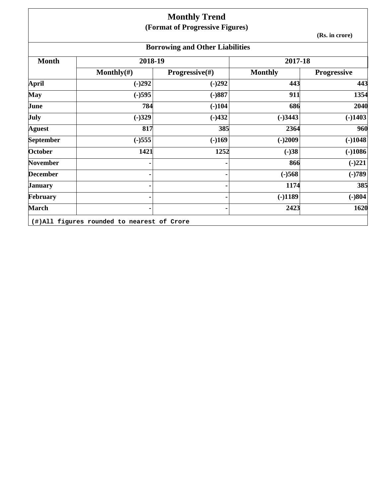## **Monthly Trend (Format of Progressive Figures)**

**(Rs. in crore)**

# **Borrowing and Other Liabilities**

| 2018-19        |                           | 2017-18        |                    |
|----------------|---------------------------|----------------|--------------------|
| Monthly $(\#)$ | <b>Progressive</b> $(\#)$ | <b>Monthly</b> | <b>Progressive</b> |
| $(-)292$       | $(-)292$                  | 443            | 443                |
| $(-)595$       | $(-)887$                  | 911            | 1354               |
| 784            | $(-)104$                  | 686            | 2040               |
| $(-)329$       | $(-)432$                  | $(-)3443$      | $(-)1403$          |
| 817            | 385                       | 2364           | 960                |
| $(-)555$       | $(-)169$                  | $(-)2009$      | $(-)1048$          |
| 1421           | 1252                      | $(-)38$        | $(-)1086$          |
| ۰              |                           | 866            | $(-)221$           |
|                |                           | $(-)568$       | $(-)789$           |
| ۰              |                           | 1174           | 385                |
| ۰              |                           | $(-)1189$      | $(-)804$           |
| ۰              |                           | 2423           | 1620               |
|                |                           |                |                    |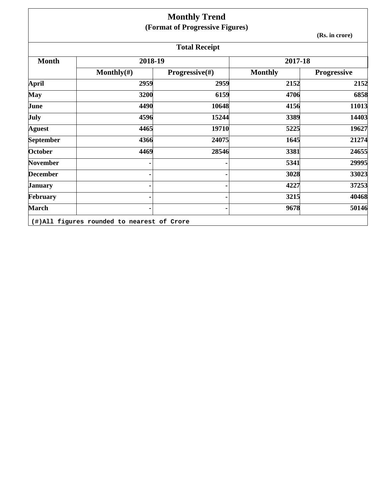|                  |                | <b>Monthly Trend</b>            |                |                    |
|------------------|----------------|---------------------------------|----------------|--------------------|
|                  |                | (Format of Progressive Figures) |                |                    |
|                  |                |                                 |                | (Rs. in crore)     |
|                  |                | <b>Total Receipt</b>            |                |                    |
| <b>Month</b>     | 2018-19        |                                 | 2017-18        |                    |
|                  | Monthly $(\#)$ | Progressive(#)                  | <b>Monthly</b> | <b>Progressive</b> |
| <b>April</b>     | 2959           | 2959                            | 2152           | 2152               |
| <b>May</b>       | 3200           | 6159                            | 4706           | 6858               |
| June             | 4490           | 10648                           | 4156           | 11013              |
| <b>July</b>      | 4596           | 15244                           | 3389           | 14403              |
| <b>Aguest</b>    | 4465           | 19710                           | 5225           | 19627              |
| <b>September</b> | 4366           | 24075                           | 1645           | 21274              |
| October          | 4469           | 28546                           | 3381           | 24655              |
| <b>November</b>  |                |                                 | 5341           | 29995              |
| <b>December</b>  |                |                                 | 3028           | 33023              |
| <b>January</b>   |                |                                 | 4227           | 37253              |
| February         |                |                                 | 3215           | 40468              |
| <b>March</b>     |                |                                 | 9678           | 50146              |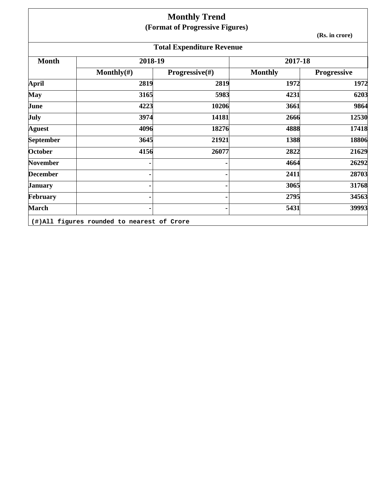## **Monthly Trend (Format of Progressive Figures)**

**(Rs. in crore)**

| <b>Total Expenditure Revenue</b> |                                            |                           |                |                    |  |  |  |
|----------------------------------|--------------------------------------------|---------------------------|----------------|--------------------|--|--|--|
| <b>Month</b>                     | 2018-19                                    |                           | 2017-18        |                    |  |  |  |
|                                  | Monthly $(\#)$                             | <b>Progressive</b> $(\#)$ | <b>Monthly</b> | <b>Progressive</b> |  |  |  |
| April                            | 2819                                       | 2819                      | 1972           | 1972               |  |  |  |
| <b>May</b>                       | 3165                                       | 5983                      | 4231           | 6203               |  |  |  |
| June                             | 4223                                       | 10206                     | 3661           | 9864               |  |  |  |
| <b>July</b>                      | 3974                                       | 14181                     | 2666           | 12530              |  |  |  |
| <b>Aguest</b>                    | 4096                                       | 18276                     | 4888           | 17418              |  |  |  |
| <b>September</b>                 | 3645                                       | 21921                     | 1388           | 18806              |  |  |  |
| <b>October</b>                   | 4156                                       | 26077                     | 2822           | 21629              |  |  |  |
| <b>November</b>                  |                                            |                           | 4664           | 26292              |  |  |  |
| <b>December</b>                  |                                            |                           | 2411           | 28703              |  |  |  |
| <b>January</b>                   |                                            |                           | 3065           | 31768              |  |  |  |
| February                         |                                            |                           | 2795           | 34563              |  |  |  |
| <b>March</b>                     |                                            |                           | 5431           | 39993              |  |  |  |
|                                  | (#)All figures rounded to nearest of Crore |                           |                |                    |  |  |  |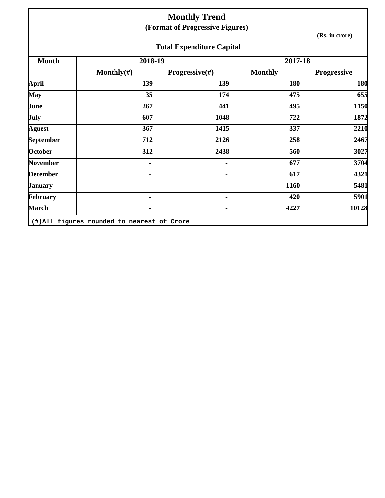|                  |                                            | <b>Monthly Trend</b>             |                |                    |
|------------------|--------------------------------------------|----------------------------------|----------------|--------------------|
|                  |                                            | (Format of Progressive Figures)  |                |                    |
|                  |                                            |                                  |                | (Rs. in crore)     |
|                  |                                            | <b>Total Expenditure Capital</b> |                |                    |
| <b>Month</b>     | 2018-19                                    |                                  | 2017-18        |                    |
|                  | Monthly $(\#)$                             | Progressive(#)                   | <b>Monthly</b> | <b>Progressive</b> |
| <b>April</b>     | 139                                        | 139                              | 180            | 180                |
| <b>May</b>       | 35                                         | 174                              | 475            | 655                |
| June             | 267                                        | 441                              | 495            | 1150               |
| <b>July</b>      | 607                                        | 1048                             | 722            | 1872               |
| <b>Aguest</b>    | 367                                        | 1415                             | 337            | 2210               |
| <b>September</b> | 712                                        | 2126                             | 258            | 2467               |
| <b>October</b>   | 312                                        | 2438                             | 560            | 3027               |
| <b>November</b>  |                                            |                                  | 677            | 3704               |
| <b>December</b>  |                                            |                                  | 617            | 4321               |
| <b>January</b>   |                                            |                                  | 1160           | 5481               |
| February         |                                            |                                  | 420            | 5901               |
| <b>March</b>     |                                            |                                  | 4227           | 10128              |
|                  | (#)All figures rounded to nearest of Crore |                                  |                |                    |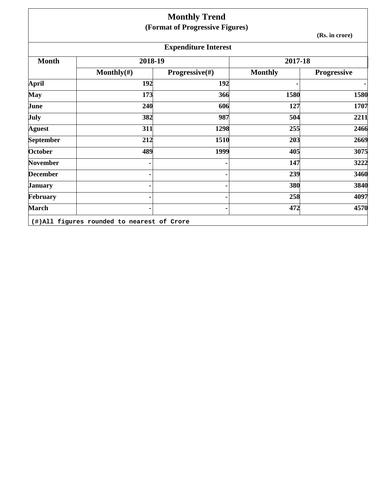|                 |                | <b>Monthly Trend</b><br>(Format of Progressive Figures) |                |                    |
|-----------------|----------------|---------------------------------------------------------|----------------|--------------------|
|                 |                |                                                         |                | (Rs. in crore)     |
|                 |                | <b>Expenditure Interest</b>                             |                |                    |
| <b>Month</b>    | 2018-19        |                                                         | 2017-18        |                    |
|                 | Monthly $(\#)$ | Progressive(#)                                          | <b>Monthly</b> | <b>Progressive</b> |
| <b>April</b>    | 192            | 192                                                     |                | ٠                  |
| May             | 173            | 366                                                     | 1580           | 1580               |
| June            | 240            | 606                                                     | 127            | 1707               |
| July            | 382            | 987                                                     | 504            | 2211               |
| <b>Aguest</b>   | 311            | 1298                                                    | 255            | 2466               |
| September       | 212            | 1510                                                    | 203            | 2669               |
| October         | 489            | 1999                                                    | 405            | 3075               |
| <b>November</b> |                |                                                         | 147            | 3222               |
| <b>December</b> |                |                                                         | 239            | 3460               |
| <b>January</b>  |                |                                                         | 380            | 3840               |
| February        |                |                                                         | 258            | 4097               |
| <b>March</b>    |                |                                                         | 472            | 4570               |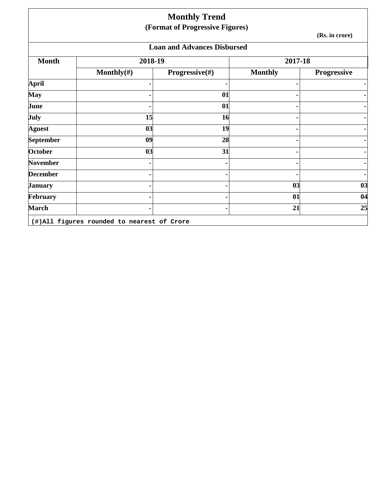|                 |                | <b>Monthly Trend</b><br>(Format of Progressive Figures) |                |                    |
|-----------------|----------------|---------------------------------------------------------|----------------|--------------------|
|                 |                |                                                         |                | (Rs. in crore)     |
|                 |                | <b>Loan and Advances Disbursed</b>                      |                |                    |
| <b>Month</b>    | 2018-19        |                                                         | 2017-18        |                    |
|                 | Monthly $(\#)$ | Progressive(#)                                          | <b>Monthly</b> | <b>Progressive</b> |
| April           |                |                                                         |                |                    |
| <b>May</b>      |                | 01                                                      |                |                    |
| June            |                | 01                                                      |                |                    |
| July            | 15             | 16                                                      |                |                    |
| <b>Aguest</b>   | 03             | 19                                                      |                |                    |
| September       | 09             | 28                                                      |                |                    |
| <b>October</b>  | 03             | 31                                                      |                |                    |
| <b>November</b> |                |                                                         |                |                    |
| <b>December</b> |                |                                                         |                |                    |
| January         |                |                                                         | 03             | 03                 |
| February        |                |                                                         | 01             | 04                 |
| <b>March</b>    |                |                                                         | 21             | 25                 |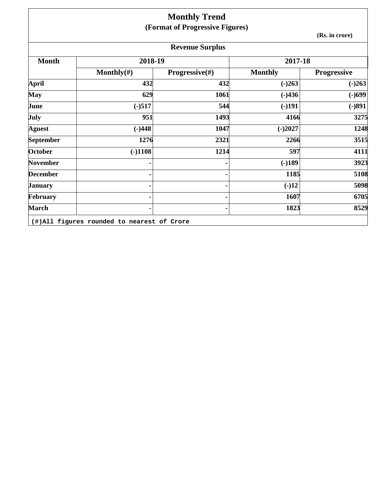|                  |                | <b>Monthly Trend</b>            |                |                |
|------------------|----------------|---------------------------------|----------------|----------------|
|                  |                | (Format of Progressive Figures) |                |                |
|                  |                |                                 |                | (Rs. in crore) |
|                  |                | <b>Revenue Surplus</b>          |                |                |
| <b>Month</b>     | 2018-19        |                                 | 2017-18        |                |
|                  | Monthly $(\#)$ | <b>Progressive</b> $(\#)$       | <b>Monthly</b> | Progressive    |
| April            | 432            | 432                             | $(-)263$       | $(-)263$       |
| <b>May</b>       | 629            | 1061                            | $(-)436$       | $(-)699$       |
| June             | $(-)517$       | 544                             | $(-)191$       | $(-)891$       |
| July             | 951            | 1493                            | 4166           | 3275           |
| <b>Aguest</b>    | $(-)448$       | 1047                            | $(-)2027$      | 1248           |
| <b>September</b> | 1276           | 2321                            | 2266           | 3515           |
| October          | $(-)1108$      | 1214                            | 597            | 4111           |
| November         |                |                                 | $(-)189$       | 3923           |
| <b>December</b>  |                |                                 | 1185           | 5108           |
| <b>January</b>   |                |                                 | $(-)12$        | 5098           |
| February         |                |                                 | 1607           | 6705           |
| <b>March</b>     |                |                                 | 1823           | 8529           |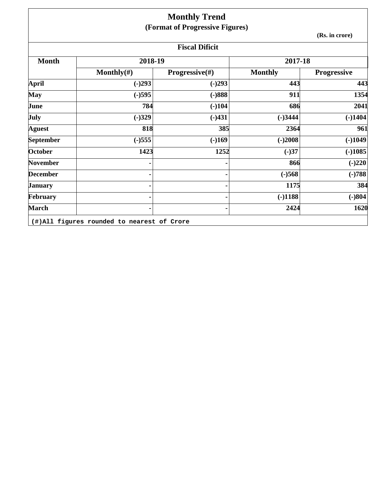|                  |                | <b>Monthly Trend</b>            |                |                    |  |
|------------------|----------------|---------------------------------|----------------|--------------------|--|
|                  |                | (Format of Progressive Figures) |                |                    |  |
|                  | (Rs. in crore) |                                 |                |                    |  |
|                  |                | <b>Fiscal Dificit</b>           |                |                    |  |
| <b>Month</b>     | 2018-19        |                                 | 2017-18        |                    |  |
|                  | Monthly $(\#)$ | <b>Progressive</b> $(\#)$       | <b>Monthly</b> | <b>Progressive</b> |  |
| <b>April</b>     | $(-)293$       | $(-)293$                        | 443            | 443                |  |
| <b>May</b>       | $(-)595$       | $(-)888$                        | 911            | 1354               |  |
| June             | 784            | $(-)104$                        | 686            | 2041               |  |
| <b>July</b>      | $(-)329$       | $(-)431$                        | $(-)3444$      | $(-)1404$          |  |
| <b>Aguest</b>    | 818            | 385                             | 2364           | 961                |  |
| <b>September</b> | $(-)555$       | $(-)169$                        | $(-)2008$      | $(-)1049$          |  |
| October          | 1423           | 1252                            | $(-)37$        | $(-)1085$          |  |
| <b>November</b>  |                |                                 | 866            | $(-)220$           |  |
| <b>December</b>  |                |                                 | $(-)568$       | $(-)788$           |  |
| <b>January</b>   |                |                                 | 1175           | 384                |  |
| February         |                |                                 | $(-)1188$      | $(-)804$           |  |
| <b>March</b>     |                |                                 | 2424           | 1620               |  |